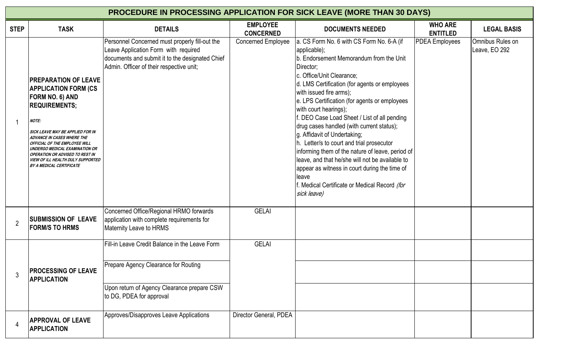| PROCEDURE IN PROCESSING APPLICATION FOR SICK LEAVE (MORE THAN 30 DAYS) |                                                                                                                                                                                                                                                                                                                                                                               |                                                                                                                                                                                       |                                     |                                                                                                                                                                                                                                                                                                                                                                                                                                                                                                                                                                                                                                                                                                                 |                                   |                                   |  |  |  |  |  |
|------------------------------------------------------------------------|-------------------------------------------------------------------------------------------------------------------------------------------------------------------------------------------------------------------------------------------------------------------------------------------------------------------------------------------------------------------------------|---------------------------------------------------------------------------------------------------------------------------------------------------------------------------------------|-------------------------------------|-----------------------------------------------------------------------------------------------------------------------------------------------------------------------------------------------------------------------------------------------------------------------------------------------------------------------------------------------------------------------------------------------------------------------------------------------------------------------------------------------------------------------------------------------------------------------------------------------------------------------------------------------------------------------------------------------------------------|-----------------------------------|-----------------------------------|--|--|--|--|--|
| <b>STEP</b>                                                            | <b>TASK</b>                                                                                                                                                                                                                                                                                                                                                                   | <b>DETAILS</b>                                                                                                                                                                        | <b>EMPLOYEE</b><br><b>CONCERNED</b> | <b>DOCUMENTS NEEDED</b>                                                                                                                                                                                                                                                                                                                                                                                                                                                                                                                                                                                                                                                                                         | <b>WHO ARE</b><br><b>ENTITLED</b> | <b>LEGAL BASIS</b>                |  |  |  |  |  |
|                                                                        | <b>PREPARATION OF LEAVE</b><br><b>APPLICATION FORM (CS)</b><br>FORM NO. 6) AND<br><b>REQUIREMENTS;</b><br><b>NOTE:</b><br>SICK LEAVE MAY BE APPLIED FOR IN<br><b>ADVANCE IN CASES WHERE THE</b><br>OFFICIAL OF THE EMPLOYEE WILL<br>UNDERGO MEDICAL EXAMINATION OR<br>OPERATION OR ADVISED TO REST IN<br>VIEW OF ILL HEALTH DULY SUPPORTED<br><b>BY A MEDICAL CERTIFICATE</b> | Personnel Concerned must properly fill-out the<br>Leave Application Form with required<br>documents and submit it to the designated Chief<br>Admin. Officer of their respective unit; | <b>Concerned Employee</b>           | a. CS Form No. 6 with CS Form No. 6-A (if<br>applicable);<br>b. Endorsement Memorandum from the Unit<br>Director;<br>c. Office/Unit Clearance;<br>d. LMS Certification (for agents or employees<br>with issued fire arms);<br>e. LPS Certification (for agents or employees<br>with court hearings);<br>f. DEO Case Load Sheet / List of all pending<br>drug cases handled (with current status);<br>g. Affidavit of Undertaking;<br>h. Letter/s to court and trial prosecutor<br>informing them of the nature of leave, period of<br>leave, and that he/she will not be available to<br>appear as witness in court during the time of<br>leave<br>f. Medical Certificate or Medical Record (for<br>sick leave) | <b>PDEA</b> Employees             | Omnibus Rules on<br>Leave, EO 292 |  |  |  |  |  |
| $\overline{2}$                                                         | <b>SUBMISSION OF LEAVE</b><br><b>FORM/S TO HRMS</b>                                                                                                                                                                                                                                                                                                                           | Concerned Office/Regional HRMO forwards<br>application with complete requirements for<br>Maternity Leave to HRMS                                                                      | <b>GELAI</b>                        |                                                                                                                                                                                                                                                                                                                                                                                                                                                                                                                                                                                                                                                                                                                 |                                   |                                   |  |  |  |  |  |
| 3                                                                      | <b>PROCESSING OF LEAVE</b><br><b>APPLICATION</b>                                                                                                                                                                                                                                                                                                                              | Fill-in Leave Credit Balance in the Leave Form<br>Prepare Agency Clearance for Routing<br>Upon return of Agency Clearance prepare CSW<br>to DG, PDEA for approval                     | <b>GELAI</b>                        |                                                                                                                                                                                                                                                                                                                                                                                                                                                                                                                                                                                                                                                                                                                 |                                   |                                   |  |  |  |  |  |
| 4                                                                      | <b>APPROVAL OF LEAVE</b><br><b>APPLICATION</b>                                                                                                                                                                                                                                                                                                                                | Approves/Disapproves Leave Applications                                                                                                                                               | Director General, PDEA              |                                                                                                                                                                                                                                                                                                                                                                                                                                                                                                                                                                                                                                                                                                                 |                                   |                                   |  |  |  |  |  |